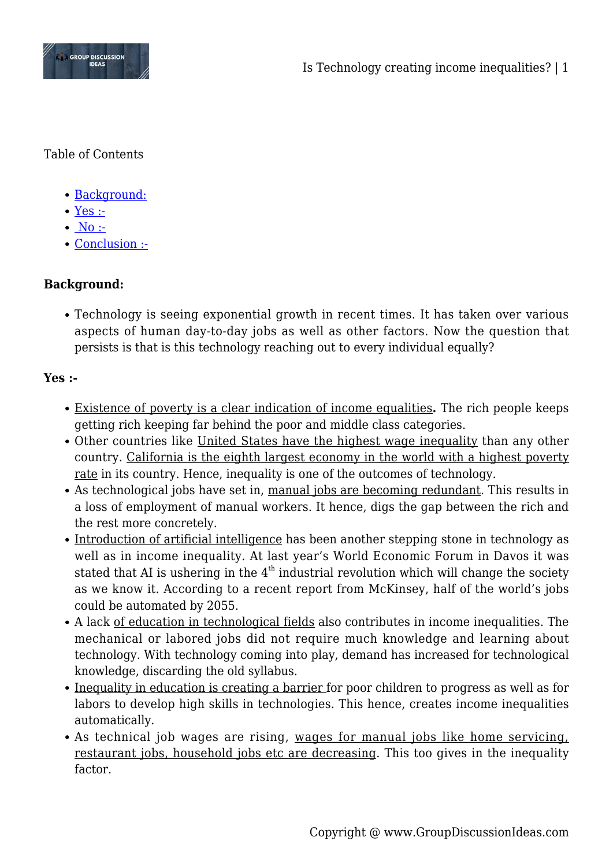

Table of Contents

- [Background:](#page--1-0)
- [Yes :-](#page--1-0)
- $\bullet$  [No :-](#page--1-0)
- [Conclusion :-](#page--1-0)

## **Background:**

Technology is seeing exponential growth in recent times. It has taken over various aspects of human day-to-day jobs as well as other factors. Now the question that persists is that is this technology reaching out to every individual equally?

## **Yes :-**

- Existence of poverty is a clear indication of income equalities**.** The rich people keeps getting rich keeping far behind the poor and middle class categories.
- Other countries like United States have the highest wage inequality than any other country. California is the eighth largest economy in the world with a highest poverty rate in its country. Hence, inequality is one of the outcomes of technology.
- As technological jobs have set in, manual jobs are becoming redundant. This results in a loss of employment of manual workers. It hence, digs the gap between the rich and the rest more concretely.
- Introduction of artificial intelligence has been another stepping stone in technology as well as in income inequality. At last year's World Economic Forum in Davos it was stated that AI is ushering in the  $4<sup>th</sup>$  industrial revolution which will change the society as we know it. According to a recent report from McKinsey, half of the world's jobs could be automated by 2055.
- A lack of education in technological fields also contributes in income inequalities. The mechanical or labored jobs did not require much knowledge and learning about technology. With technology coming into play, demand has increased for technological knowledge, discarding the old syllabus.
- Inequality in education is creating a barrier for poor children to progress as well as for labors to develop high skills in technologies. This hence, creates income inequalities automatically.
- As technical job wages are rising, wages for manual jobs like home servicing, restaurant jobs, household jobs etc are decreasing. This too gives in the inequality factor.